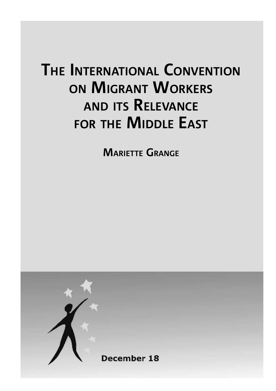# **THE INTERNATIONAL CONVENTION ON MIGRANT WORKERS AND ITS RELEVANCE FOR THE MIDDLE EAST**

**MARIETTE GRANGE**

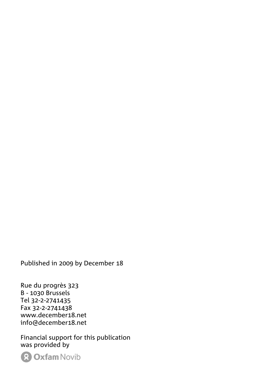Published in 2009 by December 18

Rue du progrès 323 B - 1030 Brussels Tel 32-2-2741435 Fax 32-2-2741438 www.december18.net info@december18.net

Financial support for this publication was provided by

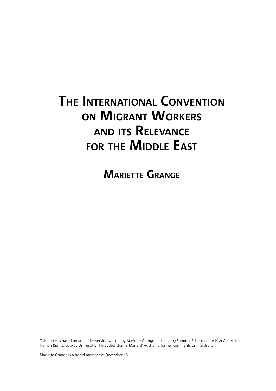## **THE INTERNATIONAL CONVENTION ON MIGRANT WORKERS AND ITS RELEVANCE FOR THE MIDDLE EAST**

**MARIETTE GRANGE**

This paper is based on an earlier version written by Mariette Grange for the 2009 Summer School of the Irish Centre for Human Rights, Galway University. The author thanks Marie d' Auchamp for her comments on the draft.

Mariette Grange is a board member of December 18.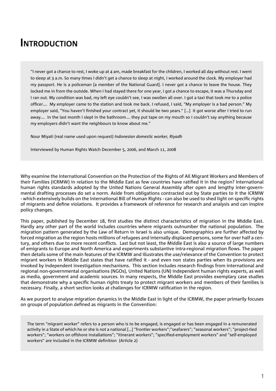#### **INTRODUCTION**

"I never got a chance to rest, I woke up at 4 am, made breakfast for the children, I worked all day without rest. I went to sleep at 3 a.m. So many times I didn't get a chance to sleep at night, I worked around the clock. My employer had my passport. He is a policeman [a member of the National Guard]. I never got a chance to leave the house. They locked me in from the outside. When I had stayed there for one year, I got a chance to escape, it was a Thursday and I ran out. My condition was bad, my left eye couldn't see, I was swollen all over. I got a taxi that took me to a police officer.... My employer came to the station and took me back. I refused, I said, "My employer is a bad person." My employer said, "You haven't finished your contract yet, it should be two years." [...] It got worse after I tried to run away…. In the last month I slept in the bathroom…. they put tape on my mouth so I couldn't say anything because my employers didn't want the neighbours to know about me."

Nour Miyati (real name used upon request) *Indonesian domestic worker, Riyadh*

Interviewed by Human Rights Watch December 5, 2006, and March 11, 2008

Why examine the International Convention on the Protection of the Rights of All Migrant Workers and Members of their Families (ICRMW) in relation to the Middle East as few countries have ratified it in the region? International human rights standards adopted by the United Nations General Assembly after open and lengthy inter-governmental drafting processes do set a norm. Aside from obligations contracted out by State parties to it the ICRMW - which extensively builds on the International Bill of Human Rights - can also be used to shed light on specific rights of migrants and define violations. It provides a framework of reference for research and analysis and can inspire policy changes.

This paper, published by December 18, first studies the distinct characteristics of migration in the Middle East. Hardly any other part of the world includes countries where migrants outnumber the national population. The migration pattern generated by the Law of Return in Israel is also unique. Demographics are further affected by forced migration as the region hosts millions of refugees and internally displaced persons, some for over half a century, and others due to more recent conflicts. Last but not least, the Middle East is also a source of large numbers of emigrants to Europe and North America and experiments substantive intra-regional migration flows. The paper then details some of the main features of the ICRMW and illustrates the use/relevance of the Convention to protect migrant workers in Middle East states that have ratified it - and even non states parties when its provisions are invoked by independent investigation mechanisms. This section includes research findings from international and regional non-governmental organisations (NGOs), United Nations (UN) independent human rights experts, as well as media, government and academic sources. In many respects, the Middle East provides exemplary case studies that demonstrate why a specific human rights treaty to protect migrant workers and members of their families is necessary. Finally, a short section looks at challenges for ICRMW ratification in the region.

As we purport to analyse migration dynamics in the Middle East in light of the ICRMW, the paper primarily focuses on groups of population defined as migrants in the Convention:

The term "migrant worker" refers to a person who is to be engaged, is engaged or has been engaged in a remunerated activity in a State of which he or she is not a national […] "frontier workers";"seafarers"; "seasonal workers"; "project-tied workers": "workers on offshore installations": "itinerant workers": "specified-employment workers" and "self-employed workers" are included in the ICRMW definition (Article 2)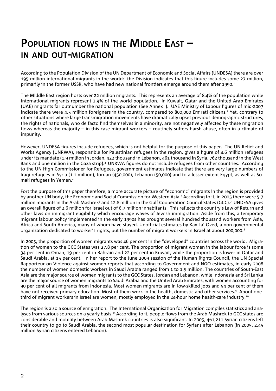#### **POPULATION FLOWS IN THE MIDDLE EAST – IN AND OUT-MIGRATION**

According to the Population Division of the UN Department of Economic and Social Affairs (UNDESA) there are over 195 million international migrants in the world: the Division indicates that this figure includes some 27 million, primarily in the former USSR, who have had new national frontiers emerge around them after 1990.<sup>1</sup>

The Middle East region hosts over 22 million migrants. This represents an average of 8.4% of the population while international migrants represent 2.9% of the world population. In Kuwait, Qatar and the United Arab Emirates (UAE) migrants far outnumber the national population (See Annex I). UAE Ministry of Labour figures of mid-2007 indicate there were 4.5 million foreigners in the country, compared to 800,000 Emirati citizens.<sup>2</sup> Yet, contrary to other situations where large transmigration movements have dramatically upset previous demographic structures, the rights of nationals, who de facto find themselves in a minority, are not negatively affected by these migration flows whereas the majority – in this case migrant workers – routinely suffers harsh abuse, often in a climate of impunity.

However, UNDESA figures include refugees, which is not helpful for the purpose of this paper. The UN Relief and Works Agency (UNRWA), responsible for Palestinian refugees in the region, gives a figure of 4.6 million refugees under its mandate (1.9 million in Jordan, 422 thousand in Lebanon, 461 thousand in Syria, 762 thousand in the West Bank and one million in the Gaza strip).<sup>3</sup> UNRWA figures do not include refugees from other countries. According to the UN High Commissioner for Refugees, government estimates indicate that there are very large numbers of Iraqi refugees in Syria (1.1 million), Jordan (450,000), Lebanon (50,000) and to a lesser extent Egypt, as well as Somali refugees in Yemen.4

Fort the purpose of this paper therefore, a more accurate picture of "economic" migrants in the region is provided by another UN body, the Economic and Social Commission for Western Asia.5 According to it, in 2005 there were 5.7 million migrants in the Arab Mashrek<sup>6</sup> and 12.8 million in the Gulf Cooperation Council States (GCC).<sup>7</sup> UNDESA gives an overall figure of 2.6 million for Israel out of 6.7 million inhabitants. This reflects the country's Law of Return and other laws on immigrant eligibility which encourage waves of Jewish immigration. Aside from this, a temporary migrant labour policy implemented in the early 1990s has brought several hundred thousand workers from Asia, Africa and South America, many of whom have stayed. Unofficial estimates by Kav La' Oved, a non-governmental organization dedicated to worker's rights, put the number of migrant workers in Israel at about 200,000.8

In 2005, the proportion of women migrants was 46 per cent in the "developed" countries across the world. Migration of women to the GCC States was 27.8 per cent. The proportion of migrant women in the labour force is some 34 per cent in Oman, 19 per cent in Bahrain and 22 per cent in Kuwait, while the proportion is lower in Qatar and Saudi Arabia, at 15 per cent. In her report to the June 2009 session of the Human Rights Council, the UN Special Rapporteur on Violence against women reports that according to Government and NGO estimates, in early 2008 the number of women domestic workers in Saudi Arabia ranged from 1 to 1.5 million. The countries of South-East Asia are the major source of women migrants to the GCC States, Jordan and Lebanon, while Indonesia and Sri Lanka are the major source of women migrants to Saudi Arabia and the United Arab Emirates, with women accounting for 90 per cent of all migrants from Indonesia. Most women migrants are in low-skilled jobs and 54 per cent of them have not received primary education. Most of them work in the health, domestic and other services.<sup>9</sup> About onethird of migrant workers in Israel are women, mostly employed in the 24-hour home health-care industry.<sup>10</sup>

The region is also a source of emigration. The International Organisation for Migration compiles statistics and analyses from various sources on a yearly basis.<sup>11</sup> According to it, people flows from the Arab Mashrek to GCC states are considerable and mobility between Arab Mashrek countries is also significant. In 2005, 461,211 Syrian citizens left their country to go to Saudi Arabia, the second most popular destination for Syrians after Lebanon (in 2005, 2.45 million Syrian citizens entered Lebanon).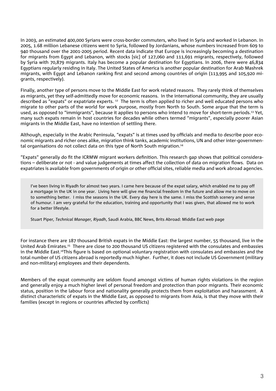In 2003, an estimated 400,000 Syrians were cross-border commuters, who lived in Syria and worked in Lebanon. In 2005, 1.68 million Lebanese citizens went to Syria, followed by Jordanians, whose numbers increased from 609 to 940 thousand over the 2001-2005 period. Recent data indicate that Europe is increasingly becoming a destination for migrants from Egypt and Lebanon, with stocks [sic] of 127,060 and 111,691 migrants, respectively, followed by Syria with 70,879 migrants. Italy has become a popular destination for Egyptians. In 2006, there were 46,834 Egyptians regularly residing in Italy. The United States of America is another popular destination for Arab Mashrek migrants, with Egypt and Lebanon ranking first and second among countries of origin (113,995 and 105,920 migrants, respectively).

Finally, another type of persons move to the Middle East for work related reasons. They rarely think of themselves as migrants, yet they self-admittedly move for economic reasons. In the international community, they are usually described as "expats" or expatriate experts. 12 The term is often applied to richer and well educated persons who migrate to other parts of the world for work purpose, mostly from North to South. Some argue that the term is used, as opposed to "immigrants", because it applies to persons who intend to move for short-term periods.<sup>13</sup> Yet, many such expats remain in host countries for decades while others termed "migrants", especially poorer Asian migrants in the Middle East, have no intention of settling there.

Although, especially in the Arabic Peninsula, "expats" is at times used by officials and media to describe poor economic migrants and richer ones alike, migration think tanks, academic institutions, UN and other inter-governmental organisations do not collect data on this type of North South migration.14

"Expats" generally do fit the ICRMW migrant workers definition. This research gap shows that political considerations – deliberate or not - and value judgements at times affect the collection of data on migration flows. Data on expatriates is available from governments of origin or other official sites, reliable media and work abroad agencies.

I've been living in Riyadh for almost two years. I came here because of the expat salary, which enabled me to pay off a mortgage in the UK in one year. Living here will give me financial freedom in the future and allow me to move on to something better. I miss the seasons in the UK. Every day here is the same. I miss the Scottish scenery and sense of humour. I am very grateful for the education, training and opportunity that I was given, that allowed me to work for a better lifestyle.

Stuart Piper*, Technical Manager, Riyadh*, Saudi Arabia, BBC News, Brits Abroad: Middle East web page

For instance there are 187 thousand British expats in the Middle East: the largest number, 55 thousand, live in the United Arab Emirates.15 There are close to 200 thousand US citizens registered with the consulates and embassies in the Middle East.<sup>16</sup>This figure is based on optional voluntary registration with consulates and embassies and the total number of US citizens abroad is reportedly much higher. Further, it does not include US Government (military and non-military) employees and their dependents.

Members of the expat community are seldom found amongst victims of human rights violations in the region and generally enjoy a much higher level of personal freedom and protection than poor migrants. Their economic status, position in the labour force and nationality generally protects them from exploitation and harassment. A distinct characteristic of expats in the Middle East, as opposed to migrants from Asia, is that they move with their families (except in regions or countries affected by conflicts)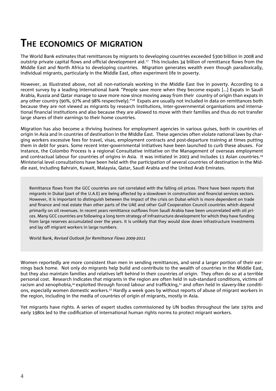### **THE ECONOMICS OF MIGRATION**

The World Bank estimates that remittances by migrants to developing countries exceeded \$300 billion in 2008 and outstrip private capital flows and official development aid.<sup>17</sup> This includes 34 billion of remittance flows from the Middle East and North Africa to developing countries. Migration generates wealth even though paradoxically, individual migrants, particularly in the Middle East, often experiment life in poverty.

However, as illustrated above, not all non-nationals working in the Middle East live in poverty. According to a recent survey by a leading international bank "People save more when they become expats […] Expats in Saudi Arabia, Russia and Qatar manage to save more now since moving away from their country of origin than expats in any other country (90%, 97% and 98% respectively)."<sup>18</sup> Expats are usually not included in data on remittances both because they are not viewed as migrants by research institutions, inter-governmental organisations and international financial institutions and also because they are allowed to move with their families and thus do not transfer large shares of their earnings to their home countries.

Migration has also become a thriving business for employment agencies in various guises, both in countries of origin in Asia and in countries of destination in the Middle East. These agencies often violate national laws by charging workers excessive fees for travel, visas, employment contracts and post-departure training at times putting them in debt for years. Some recent inter-governmental initiatives have been launched to curb these abuses. For instance, the Colombo Process is a regional Consultative initiative on the Management of overseas employment and contractual labour for countries of origins in Asia. It was initiated in 2003 and includes 11 Asian countries.<sup>19</sup> Ministerial level consultations have been held with the participation of several countries of destination in the Middle east, including Bahrain, Kuwait, Malaysia, Qatar, Saudi Arabia and the United Arab Emirates.

Remittance flows from the GCC countries are not correlated with the falling oil prices. There have been reports that migrants in Dubai (part of the U.A.E) are being affected by a slowdown in construction and financial services sectors. However, it is important to distinguish between the impact of the crisis on Dubai which is more dependent on trade and finance and real estate than other parts of the UAE and other Gulf Cooperation Council countries which depend primarily on oil revenues. In recent years remittance outflows from Saudi Arabia have been uncorrelated with oil prices. Many GCC countries are following a long term strategy of infrastructure development for which they have funding from large reserves accumulated over the years. It is unlikely that they would slow down infrastructure investments and lay off migrant workers in large numbers.

World Bank, *Revised Outlook for Remittance Flows 2009-2011*

Women reportedly are more consistent than men in sending remittances, and send a larger portion of their earnings back home. Not only do migrants help build and contribute to the wealth of countries in the Middle East, but they also maintain families and relatives left behind in their countries of origin. They often do so at a terrible personal cost. Research indicates that migrants in the region are often held in sub-standard conditions, victims of racism and xenophobia,<sup>20</sup> exploited through forced labour and trafficking,<sup>21</sup> and often held in slavery-like conditions, especially women domestic workers.22 Hardly a week goes by without reports of abuse of migrant workers in the region, including in the media of countries of origin of migrants, mostly in Asia.

Yet migrants have rights. A series of expert studies commissioned by UN bodies throughout the late 1970s and early 1980s led to the codification of international human rights norms to protect migrant workers.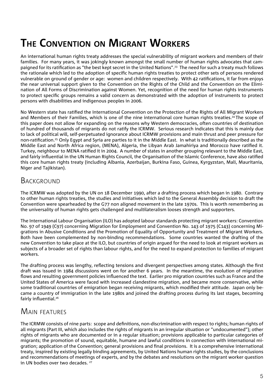### **THE CONVENTION ON MIGRANT WORKERS**

An international human rights treaty addresses the special vulnerability of migrant workers and members of their families. For many years, it was jokingly known amongst the small number of human rights advocates that campaigned for its ratification as "the best kept secret in the United Nations".<sup>23</sup> The need for such a treaty much follows the rationale which led to the adoption of specific human rights treaties to protect other sets of persons rendered vulnerable on ground of gender or age: women and children respectively. With 42 ratifications, it far from enjoys the near universal support given to the Convention on the Rights of the Child and the Convention on the Elimination of All Forms of Discrimination against Women. Yet, recognition of the need for human rights instruments to protect specific groups remains a valid concern as demonstrated with the adoption of instruments to protect persons with disabilities and indigenous peoples in 2006.

No Western state has ratified the International Convention on the Protection of the Rights of All Migrant Workers and Members of their Families, which is one of the nine international core human rights treaties.<sup>24</sup> The scope of this paper does not allow for expanding on the reasons why Western democracies, often countries of destination of hundred of thousands of migrants do not ratify the ICRMW. Serious research indicates that this is mainly due to lack of political will, self-perpetuated ignorance about ICRMW provisions and main thrust and peer pressure for non-ratification.<sup>25</sup> Only Egypt and Syria are parties to it in the Middle East. In what is traditionally described as the Middle East and North Africa region, (MENA), Algeria, the Libyan Arab Jamahiriya and Morocco have ratified it. Turkey, neighbour to MENA ratified it in 2004. A number of states in another grouping relevant to the Middle East, and fairly influential in the UN Human Rights Council, the Organisation of the Islamic Conference, have also ratified this core human rights treaty (including Albania, Azerbaijan, Burkina Faso, Guinea, Kyrgyzstan, Mali, Mauritania, Niger and Tajikistan).

#### **BACKGROUND**

The ICRMW was adopted by the UN on 18 December 1990, after a drafting process which began in 1980. Contrary to other human rights treaties, the studies and initiatives which led to the General Assembly decision to draft the Convention were spearheaded by the G77 non aligned movement in the late 1970s. This is worth remembering as the universality of human rights gets challenged and multilateralism looses strength and supporters.

The International Labour Organisation (ILO) has adopted labour standards protecting migrant workers: Convention No. 97 of 1949 (C97) concerning Migration for Employment and Convention No. 143 of 1975 (C143) concerning Migrations in Abusive Conditions and the Promotion of Equality of Opportunity and Treatment of Migrant Workers. Both have been complemented by non-binding recommendations. Some countries wanted the drafting of the new Convention to take place at the ILO, but countries of origin argued for the need to look at migrant workers as subjects of a broader set of rights than labour rights, and for the need to expand protection to families of migrant workers.

The drafting process was lengthy, reflecting tensions and divergent perspectives among states. Although the first draft was issued in 1984 discussions went on for another 6 years. In the meantime, the evolution of migration flows and resulting government policies influenced the text. Earlier pro migration countries such as France and the United States of America were faced with increased clandestine migration, and became more conservative, while some traditional countries of emigration began receiving migrants, which modified their attitude. Japan only became a country of immigration in the late 1980s and joined the drafting process during its last stages, becoming fairly influential.<sup>26</sup>

#### MAIN FEATURES

The ICRMW consists of nine parts: scope and definitions, non-discrimination with respect to rights; human rights of all migrants (Part III, which also includes the rights of migrants in an irregular situation or "undocumented"); other rights of migrants who are documented or in a regular situation; provisions applicable to particular categories of migrants; the promotion of sound, equitable, humane and lawful conditions in connection with international migration; application of the Convention; general provisions and final provisions. It is a comprehensive international treaty, inspired by existing legally binding agreements, by United Nations human rights studies, by the conclusions and recommendations of meetings of experts, and by the debates and resolutions on the migrant worker question in UN bodies over two decades.  $27$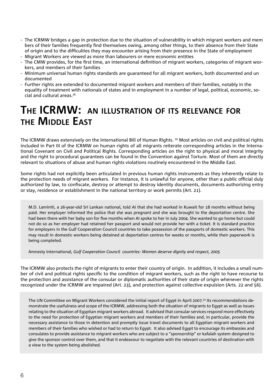- The ICRMW bridges a gap in protection due to the situation of vulnerability in which migrant workers and mem bers of their families frequently find themselves owing, among other things, to their absence from their State of origin and to the difficulties they may encounter arising from their presence in the State of employment - Migrant Workers are viewed as more than labourers or mere economic entities
- The CMW provides, for the first time, an international definition of migrant workers, categories of migrant workers, and members of their families
- Minimum universal human rights standards are guaranteed for all migrant workers, both documented and un documented
- Further rights are extended to documented migrant workers and members of their families, notably in the equality of treatment with nationals of states and in employment in a number of legal, political, economic, so cial and cultural areas.28

#### **THE ICRMW: AN ILLUSTRATION OF ITS RELEVANCE FOR THE MIDDLE EAST**

The ICRMW draws extensively on the International Bill of Human Rights. 29 Most articles on civil and political rights included in Part III of the ICRMW on human rights of all migrants reiterate corresponding articles in the International Covenant on Civil and Political Rights. Corresponding articles on the right to physical and moral integrity and the right to procedural guarantees can be found in the Convention against Torture. Most of them are directly relevant to situations of abuse and human rights violations routinely encountered in the Middle East.

Some rights had not explicitly been articulated in previous human rights instruments as they inherently relate to the protection needs of migrant workers. For instance, it is unlawful for anyone, other than a public official duly authorized by law, to confiscate, destroy or attempt to destroy identity documents, documents authorizing entry or stay, residence or establishment in the national territory or work permits (Art. 21).

M.D. Laminiti, a 26-year-old Sri Lankan national, told AI that she had worked in Kuwait for 18 months without being paid. Her employer informed the police that she was pregnant and she was brought to the deportation centre. She had been there with her baby son for five months when AI spoke to her in July 2004. She wanted to go home but could not do so as her employer had retained her passport and would not provide her with a ticket. It is standard practice for employers in the Gulf Cooperation Council countries to take possession of the passports of domestic workers. This may result in domestic workers being detained at deportation centres for weeks or months, while their paperwork is being completed.

Amnesty International*, Gulf Cooperation Council countries: Women deserve dignity and respect, 2005*

The ICRMW also protects the right of migrants to enter their country of origin. In addition, it includes a small number of civil and political rights specific to the condition of migrant workers, such as the right to have recourse to the protection and assistance of the consular or diplomatic authorities of their state of origin whenever the rights recognized under the ICRMW are impaired (Art. 23), and protection against collective expulsion (Arts. 22 and 56).

The UN Committee on Migrant Workers considered the initial report of Egypt in April 2007.30 Its recommendations demonstrate the usefulness and scope of the ICRMW, addressing both the situation of migrants to Egypt as well as issues relating to the situation of Egyptian migrant workers abroad. It advised that consular services respond more effectively to the need for protection of Egyptian migrant workers and members of their families and, in particular, provide the necessary assistance to those in detention and promptly issue travel documents to all Egyptian migrant workers and members of their families who wished or had to return to Egypt. It also advised Egypt to encourage its embassies and consulates to provide assistance to migrant workers who are subject to a "sponsorship" or kafalah system designed to give the sponsor control over them, and that it endeavour to negotiate with the relevant countries of destination with a view to the system being abolished.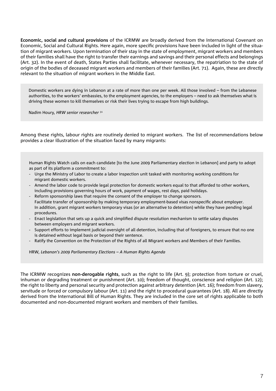**Economic, social and cultural provisions** of the ICRMW are broadly derived from the International Covenant on Economic, Social and Cultural Rights. Here again, more specific provisions have been included in light of the situation of migrant workers. Upon termination of their stay in the state of employment, migrant workers and members of their families shall have the right to transfer their earnings and savings and their personal effects and belongings (Art. 32). In the event of death, States Parties shall facilitate, whenever necessary, the repatriation to the state of origin of the bodies of deceased migrant workers and members of their families (Art. 71). Again, these are directly relevant to the situation of migrant workers in the Middle East.

Domestic workers are dying in Lebanon at a rate of more than one per week. All those involved – from the Lebanese authorities, to the workers' embassies, to the employment agencies, to the employers – need to ask themselves what is driving these women to kill themselves or risk their lives trying to escape from high buildings.

Nadim Houry*, HRW senior researcher* <sup>31</sup>

Among these rights, labour rights are routinely denied to migrant workers. The list of recommendations below provides a clear illustration of the situation faced by many migrants:

Human Rights Watch calls on each candidate [to the June 2009 Parliamentary election in Lebanon] and party to adopt as part of its platform a commitment to:

- Urge the Ministry of Labor to create a labor inspection unit tasked with monitoring working conditions for migrant domestic workers.
- Amend the labor code to provide legal protection for domestic workers equal to that afforded to other workers, including provisions governing hours of work, payment of wages, rest days, paid holidays.
- Reform sponsorship laws that require the consent of the employer to change sponsors. Facilitate transfer of sponsorship by making temporary employment-based visas nonspecific about employer. In addition, grant migrant workers temporary visas (or an alternative to detention) while they have pending legal procedures.
- Enact legislation that sets up a quick and simplified dispute resolution mechanism to settle salary disputes between employers and migrant workers.
- Support efforts to implement judicial oversight of all detention, including that of foreigners, to ensure that no one is detained without legal basis or beyond their sentence.
- Ratify the Convention on the Protection of the Rights of all Migrant workers and Members of their Families.

HRW*, Lebanon's 2009 Parliamentary Elections – A Human Rights Agenda*

The ICRMW recognizes **non-derogable rights**, such as the right to life (Art. 9); protection from torture or cruel, inhuman or degrading treatment or punishment (Art. 10); freedom of thought, conscience and religion (Art. 12); the right to liberty and personal security and protection against arbitrary detention (Art. 16); freedom from slavery, servitude or forced or compulsory labour (Art. 11) and the right to procedural guarantees (Art. 18). All are directly derived from the International Bill of Human Rights. They are included in the core set of rights applicable to both documented and non-documented migrant workers and members of their families.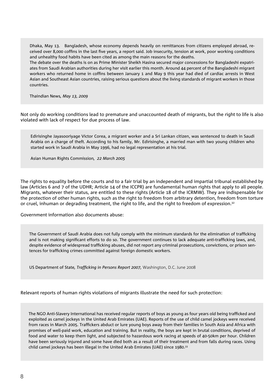Dhaka, May 13. Bangladesh, whose economy depends heavily on remittances from citizens employed abroad, received over 8,000 coffins in the last five years, a report said. Job insecurity, tension at work, poor working conditions and unhealthy food habits have been cited as among the main reasons for the deaths.

The debate over the deaths is on as Prime Minister Sheikh Hasina secured major concessions for Bangladeshi expatriates from Saudi Arabian authorities during her visit earlier this month. Around 44 percent of the Bangladeshi migrant workers who returned home in coffins between January 1 and May 9 this year had died of cardiac arrests in West Asian and Southeast Asian countries, raising serious questions about the living standards of migrant workers in those countries.

Thaindian News*, May 13, 2009*

Not only do working conditions lead to premature and unaccounted death of migrants, but the right to life is also violated with lack of respect for due process of law.

Edirisinghe Jayasooriyage Victor Corea, a migrant worker and a Sri Lankan citizen, was sentenced to death in Saudi Arabia on a charge of theft. According to his family, Mr. Edirisinghe, a married man with two young children who started work in Saudi Arabia in May 1996, had no legal representation at his trial.

Asian Human Rights Commission*, 22 March 2005*

The rights to equality before the courts and to a fair trial by an independent and impartial tribunal established by law (Articles 6 and 7 of the UDHR; Article 14 of the ICCPR) are fundamental human rights that apply to all people. Migrants, whatever their status, are entitled to these rights (Article 18 of the ICRMW). They are indispensable for the protection of other human rights, such as the right to freedom from arbitrary detention, freedom from torture or cruel, inhuman or degrading treatment, the right to life, and the right to freedom of expression.32

Government information also documents abuse:

The Government of Saudi Arabia does not fully comply with the minimum standards for the elimination of trafficking and is not making significant efforts to do so. The government continues to lack adequate anti-trafficking laws, and, despite evidence of widespread trafficking abuses, did not report any criminal prosecutions, convictions, or prison sentences for trafficking crimes committed against foreign domestic workers.

US Department of State, Trafficking in Persons Report 2007, Washington, D.C. June 2008

Relevant reports of human rights violations of migrants illustrate the need for such protection:

The NGO Anti-Slavery International has received regular reports of boys as young as four years old being trafficked and exploited as camel jockeys in the United Arab Emirates (UAE). Reports of the use of child camel jockeys were received from races in March 2005. Traffickers abduct or lure young boys away from their families in South Asia and Africa with promises of well-paid work, education and training. But in reality, the boys are kept in brutal conditions, deprived of food and water to keep them light, and subjected to hazardous work racing at speeds of 40-50km per hour. Children have been seriously injured and some have died both as a result of their treatment and from falls during races. Using child camel jockeys has been illegal in the United Arab Emirates (UAE) since 1980.33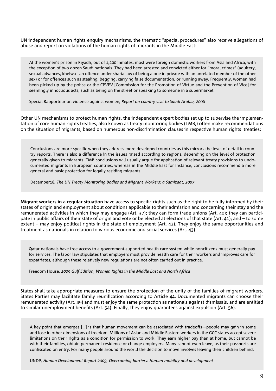UN independent human rights enquiry mechanisms, the thematic "special procedures" also receive allegations of abuse and report on violations of the human rights of migrants in the Middle East:

At the women's prison in Riyadh, out of 1,200 inmates, most were foreign domestic workers from Asia and Africa, with the exception of two dozen Saudi nationals. They had been arrested and convicted either for "moral crimes" (adultery, sexual advances, khelwa - an offence under sharia law of being alone in private with an unrelated member of the other sex) or for offences such as stealing, begging, carrying false documentation, or running away. Frequently, women had been picked up by the police or the CPVPV [Commission for the Promotion of Virtue and the Prevention of Vice] for seemingly innocuous acts, such as being on the street or speaking to someone in a supermarket.

Special Rapporteur on violence against women*, Report on country visit to Saudi Arabia, 2008*

Other UN mechanisms to protect human rights, the independent expert bodies set up to supervise the implementation of core human rights treaties, also known as treaty monitoring bodies (TMB,) often make recommendations on the situation of migrants, based on numerous non-discrimination clauses in respective human rights treaties:

Conclusions are more specific when they address more developed countries as this mirrors the level of detail in country reports. There is also a difference in the issues raised according to regions, depending on the level of protection generally given to migrants. TMB conclusions will usually argue for application of relevant treaty provisions to undocumented migrants in European countries, whereas in the Middle East for instance, conclusions recommend a more general and basic protection for legally residing migrants.

December18*, The UN Treaty Monitoring Bodies and Migrant Workers: a Samizdat, 2007*

**Migrant workers in a regular situation** have access to specific rights such as the right to be fully informed by their states of origin and employment about conditions applicable to their admission and concerning their stay and the remunerated activities in which they may engage (Art. 37); they can form trade unions (Art. 40); they can participate in public affairs of their state of origin and vote or be elected at elections of that state (Art. 41); and – to some extent – may enjoy political rights in the state of employment (Art. 42). They enjoy the same opportunities and treatment as nationals in relation to various economic and social services (Art. 43).

Qatar nationals have free access to a government-supported health care system while noncitizens must generally pay for services. The labor law stipulates that employers must provide health care for their workers and improves care for expatriates, although these relatively new regulations are not often carried out in practice.

Freedom House*, 2009 Gulf Edition, Women Rights in the Middle East and North Africa*

States shall take appropriate measures to ensure the protection of the unity of the families of migrant workers. States Parties may facilitate family reunification according to Article 44. Documented migrants can choose their remunerated activity (Art. 49) and must enjoy the same protection as nationals against dismissals, and are entitled to similar unemployment benefits (Art. 54). Finally, they enjoy guarantees against expulsion (Art. 56).

A key point that emerges […] is that human movement can be associated with tradeoffs—people may gain in some and lose in other dimensions of freedom. Millions of Asian and Middle Eastern workers in the GCC states accept severe limitations on their rights as a condition for permission to work. They earn higher pay than at home, but cannot be with their families, obtain permanent residence or change employers. Many cannot even leave, as their passports are confiscated on entry. For many people around the world the decision to move involves leaving their children behind.

UNDP*, Human Development Report 2009, Overcoming barriers: Human mobility and development*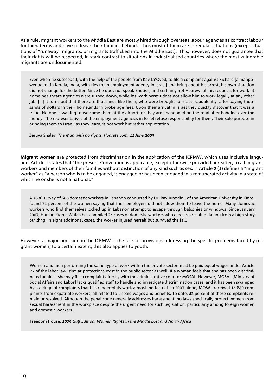As a rule, migrant workers to the Middle East are mostly hired through overseas labour agencies as contract labour for fixed terms and have to leave their families behind. Thus most of them are in regular situations (except situations of "runaway" migrants, or migrants trafficked into the Middle East). This, however, does not quarantee that their rights will be respected, in stark contrast to situations in industrialised countries where the most vulnerable migrants are undocumented.

Even when he succeeded, with the help of the people from Kay La'Oved, to file a complaint against Richard [a manpower agent in Kerala, India, with ties to an employment agency in Israel] and bring about his arrest, his own situation did not change for the better. Since he does not speak English, and certainly not Hebrew, all his requests for work at home healthcare agencies were turned down, while his work permit does not allow him to work legally at any other job. […] It turns out that there are thousands like them, who were brought to Israel fraudulently, after paying thousands of dollars in their homelands in brokerage fees. Upon their arrival in Israel they quickly discover that it was a fraud. No one is waiting to welcome them at the airport, or they are abandoned on the road after handing over the money. The representatives of the employment agencies in Israel refuse responsibility for them. Their sole purpose in bringing them to Israel, as they learn, is not work but rather exploitation.

Zeruya Shalev*, The Man with no rights, Haaretz.com, 11 June 2009*

**Migrant women** are protected from discrimination in the application of the ICRMW, which uses inclusive language. Article 1 states that "the present Convention is applicable, except otherwise provided hereafter, to all migrant workers and members of their families without distinction of any kind such as sex..." Article 2 (1) defines a "migrant worker" as "a person who is to be engaged, is engaged or has been engaged in a remunerated activity in a state of which he or she is not a national."

A 2006 survey of 600 domestic workers in Lebanon conducted by Dr. Ray Jureidini, of the American University in Cairo, found 31 percent of the women saying that their employers did not allow them to leave the home. Many domestic workers who find themselves locked up in Lebanon attempt to escape through balconies or windows. Since January 2007, Human Rights Watch has compiled 24 cases of domestic workers who died as a result of falling from a high-story building. In eight additional cases, the worker injured herself but survived the fall.

However, a major omission in the ICRMW is the lack of provisions addressing the specific problems faced by migrant women; to a certain extent, this also applies to youth.

Women and men performing the same type of work within the private sector must be paid equal wages under Article 27 of the labor law; similar protections exist in the public sector as well. If a woman feels that she has been discriminated against, she may file a complaint directly with the administrative court or MOSAL. However, MOSAL [Ministry of Social Affairs and Labor] lacks qualified staff to handle and investigate discrimination cases, and it has been swamped by a deluge of complaints that has rendered its work almost ineffectual. In 2007 alone, MOSAL received 14,840 complaints from expatriate workers, all related to unpaid wages and benefits. To date, 42 percent of these complaints remain unresolved. Although the penal code generally addresses harassment, no laws specifically protect women from sexual harassment in the workplace despite the urgent need for such legislation, particularly among foreign women and domestic workers.

Freedom House*, 2009 Gulf Edition, Women Rights in the Middle East and North Africa*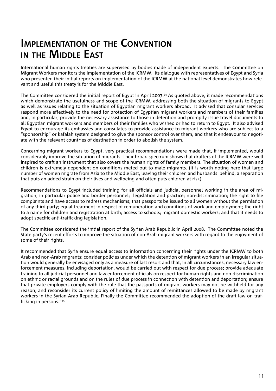#### **IMPLEMENTATION OF THE CONVENTION IN THE MIDDLE EAST**

International human rights treaties are supervised by bodies made of independent experts. The Committee on Migrant Workers monitors the implementation of the ICRMW. Its dialogue with representatives of Egypt and Syria who presented their initial reports on implementation of the ICRMW at the national level demonstrates how relevant and useful this treaty is for the Middle East.

The Committee considered the initial report of Egypt in April 2007.34 As quoted above, it made recommendations which demonstrate the usefulness and scope of the ICRMW, addressing both the situation of migrants to Egypt as well as issues relating to the situation of Egyptian migrant workers abroad. It advised that consular services respond more effectively to the need for protection of Egyptian migrant workers and members of their families and, in particular, provide the necessary assistance to those in detention and promptly issue travel documents to all Egyptian migrant workers and members of their families who wished or had to return to Egypt. It also advised Egypt to encourage its embassies and consulates to provide assistance to migrant workers who are subject to a "sponsorship" or kafalah system designed to give the sponsor control over them, and that it endeavour to negotiate with the relevant countries of destination in order to abolish the system.

Concerning migrant workers to Egypt, very practical recommendations were made that, if implemented, would considerably improve the situation of migrants. Their broad spectrum shows that drafters of the ICRMW were well inspired to craft an instrument that also covers the human rights of family members. The situation of women and children is extremely dependent on conditions meted out to male migrants. (It is worth noting here that large number of women migrate from Asia to the Middle East, leaving their children and husbands behind, a separation that puts an added strain on their lives and wellbeing and often puts children at risk).

Recommendations to Eqypt included training for all officials and judicial personnel working in the area of migration, in particular police and border personnel; legislation and practice; non-discrimination; the right to file complaints and have access to redress mechanisms; that passports be issued to all women without the permission of any third party; equal treatment in respect of remuneration and conditions of work and employment; the right to a name for children and registration at birth; access to schools; migrant domestic workers; and that it needs to adopt specific anti-trafficking legislation.

The Committee considered the initial report of the Syrian Arab Republic in April 2008. The Committee noted the State party's recent efforts to improve the situation of non-Arab migrant workers with regard to the enjoyment of some of their rights.

It recommended that Syria ensure equal access to information concerning their rights under the ICRMW to both Arab and non-Arab migrants; consider policies under which the detention of migrant workers in an irregular situation would generally be envisaged only as a measure of last resort and that, in all circumstances, necessary law enforcement measures, including deportation, would be carried out with respect for due process; provide adequate training to all judicial personnel and law enforcement officials on respect for human rights and non-discrimination on ethnic or racial grounds and on the rules of due process in connection with detention and deportation; ensure that private employers comply with the rule that the passports of migrant workers may not be withheld for any reason; and reconsider its current policy of limiting the amount of remittances allowed to be made by migrant workers in the Syrian Arab Republic. Finally the Committee recommended the adoption of the draft law on trafficking in persons."<sup>35</sup>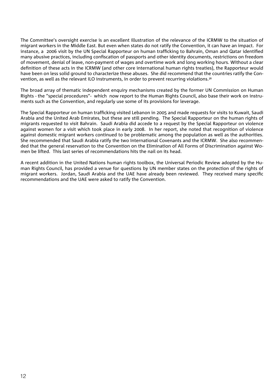The Committee's oversight exercise is an excellent illustration of the relevance of the ICRMW to the situation of migrant workers in the Middle East. But even when states do not ratify the Convention, it can have an impact. For instance, a 2006 visit by the UN Special Rapporteur on human trafficking to Bahrain, Oman and Qatar identified many abusive practices, including confiscation of passports and other identity documents, restrictions on freedom of movement, denial of leave, non-payment of wages and overtime work and long working hours. Without a clear definition of these acts in the ICRMW (and other core international human rights treaties), the Rapporteur would have been on less solid ground to characterize these abuses. She did recommend that the countries ratify the Convention, as well as the relevant ILO instruments, in order to prevent recurring violations.36

The broad array of thematic independent enquiry mechanisms created by the former UN Commission on Human Rights - the "special procedures"- which now report to the Human Rights Council, also base their work on instruments such as the Convention, and regularly use some of its provisions for leverage.

The Special Rapporteur on human trafficking visited Lebanon in 2005 and made requests for visits to Kuwait, Saudi Arabia and the United Arab Emirates, but these are still pending. The Special Rapporteur on the human rights of migrants requested to visit Bahrain. Saudi Arabia did accede to a request by the Special Rapporteur on violence against women for a visit which took place in early 2008. In her report, she noted that recognition of violence against domestic migrant workers continued to be problematic among the population as well as the authorities. She recommended that Saudi Arabia ratify the two International Covenants and the ICRMW. She also recommended that the general reservation to the Convention on the Elimination of All Forms of Discrimination against Women be lifted. This last series of recommendations hits the nail on its head.

A recent addition in the United Nations human rights toolbox, the Universal Periodic Review adopted by the Human Rights Council, has provided a venue for questions by UN member states on the protection of the rights of migrant workers. Jordan, Saudi Arabia and the UAE have already been reviewed. They received many specific recommendations and the UAE were asked to ratify the Convention.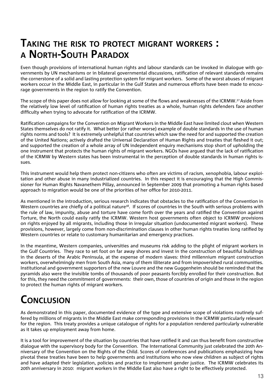#### **TAKING THE RISK TO PROTECT MIGRANT WORKERS : A NORTH-SOUTH PARADOX**

Even though provisions of international human rights and labour standards can be invoked in dialogue with governments by UN mechanisms or in bilateral governmental discussions, ratification of relevant standards remains the cornerstone of a solid and lasting protection system for migrant workers. Some of the worst abuses of migrant workers occur in the Middle East, in particular in the Gulf States and numerous efforts have been made to encourage governments in the region to ratify the Convention.

The scope of this paper does not allow for looking at some of the flows and weaknesses of the ICRMW.<sup>37</sup> Aside from the relatively low level of ratification of human rights treaties as a whole, human rights defenders face another difficulty when trying to advocate for ratification of the ICRMW.

Ratification campaigns for the Convention on Migrant Workers in the Middle East have limited clout when Western States themselves do not ratify it. What better (or rather worse) example of double standards in the use of human rights norms and tools? It is extremely unhelpful that countries which saw the need for and supported the creation of the United Nations; actively drafted the Universal Declaration of Human Rights and treaties that fleshed it out; and supported the creation of a whole array of UN independent enquiry mechanisms stop short of upholding the one instrument that protects the human rights of migrant workers. NGOs have argued that the lack of ratification of the ICRMW by Western states has been instrumental in the perception of double standards in human rights issues.

This instrument would help them protect non-citizens who often are victims of racism, xenophobia, labour exploitation and other abuse in many industrialized countries. In this respect it is encouraging that the High Commissioner for Human Rights Navanethem Pillay, announced in September 2009 that promoting a human rights based approach to migration would be one of the priorities of her office for 2010-2011.

As mentioned in the introduction, serious research indicates that obstacles to the ratification of the Convention in Western countries are chiefly of a political nature<sup>38</sup>. If scores of countries in the South with serious problems with the rule of law, impunity, abuse and torture have come forth over the years and ratified the Convention against Torture, the North could easily ratify the ICRMW. Western host governments often object to ICRMW provisions on rights enjoyed by all migrants, including those in irregular situation (undocumented migrant workers). These provisions, however, largely come from non-discrimination clauses in other human rights treaties long ratified by Western countries or relate to customary humanitarian and emergency practices.

In the meantime, Western companies, universities and museums risk adding to the plight of migrant workers in the Gulf Countries. They race to set foot on far away shores and invest in the construction of beautiful buildings in the deserts of the Arabic Peninsula, at the expense of modern slaves: third millennium migrant construction workers, overwhelmingly men from South Asia, many of them illiterate and from impoverished rural communities. Institutional and government supporters of the new Louvre and the new Guggenheim should be reminded that the pyramids also were the invisible tombs of thousands of poor peasants forcibly enrolled for their construction. But for this, they need the commitment of governments: their own, those of countries of origin and those in the region to protect the human rights of migrant workers.

### **CONCLUSION**

As demonstrated in this paper, documented evidence of the type and extensive scope of violations routinely suffered by millions of migrants in the Middle East make corresponding provisions in the ICRMW particularly relevant for the region. This treaty provides a unique catalogue of rights for a population rendered particularly vulnerable as it takes up employment away from home.

It is a tool for improvement of the situation by countries that have ratified it and can thus benefit from constructive dialogue with the supervisory body for the Convention. The International Community just celebrated the 20th Anniversary of the Convention on the Rights of the Child. Scores of conferences and publications emphasizing how pivotal these treaties have been to help governments and institutions who now view children as subject of rights and have adapted their legislation, policies and practice to implement gender justice. The ICRMW celebrates its 20th anniversary in 2010: migrant workers in the Middle East also have a right to be effectively protected.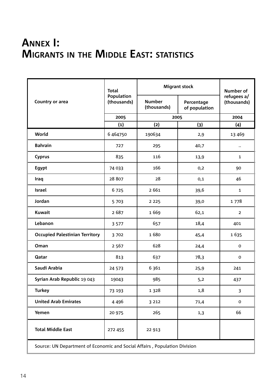#### **ANNEX I: MIGRANTS IN THE MIDDLE EAST: STATISTICS**

| Country or area                                                           | <b>Total</b><br>Population<br>(thousands) | <b>Migrant stock</b>         |                             | <b>Number of</b>           |
|---------------------------------------------------------------------------|-------------------------------------------|------------------------------|-----------------------------|----------------------------|
|                                                                           |                                           | <b>Number</b><br>(thousands) | Percentage<br>of population | refugees a/<br>(thousands) |
|                                                                           | 2005                                      | 2005                         |                             | 2004                       |
|                                                                           | (1)                                       | (2)                          | (3)                         | (4)                        |
| World                                                                     | 6 464750                                  | 190634                       | 2,9                         | 13 469                     |
| <b>Bahrain</b>                                                            | 727                                       | 295                          | 40,7                        | $\ddotsc$                  |
| <b>Cyprus</b>                                                             | 835                                       | 116                          | 13,9                        | $\mathbf{1}$               |
| Egypt                                                                     | 74 033                                    | 166                          | 0,2                         | 90                         |
| Iraq                                                                      | 28 807                                    | 28                           | 0,1                         | 46                         |
| <b>Israel</b>                                                             | 6725                                      | 2 6 6 1                      | 39,6                        | $\mathbf{1}$               |
| Jordan                                                                    | 5703                                      | 2 2 2 5                      | 39,0                        | 1778                       |
| <b>Kuwait</b>                                                             | 2 6 8 7                                   | 1669                         | 62,1                        | $\overline{2}$             |
| Lebanon                                                                   | 3 5 7 7                                   | 657                          | 18,4                        | 401                        |
| <b>Occupied Palestinian Territory</b>                                     | 3702                                      | 1680                         | 45,4                        | 1635                       |
| Oman                                                                      | 2 5 6 7                                   | 628                          | 24,4                        | 0                          |
| Qatar                                                                     | 813                                       | 637                          | 78,3                        | 0                          |
| Saudi Arabia                                                              | 24 573                                    | 6 3 6 1                      | 25,9                        | 241                        |
| Syrian Arab Republic 19 043                                               | 19043                                     | 985                          | 5,2                         | 437                        |
| <b>Turkey</b>                                                             | 73 193                                    | 1 3 2 8                      | 1,8                         | 3                          |
| <b>United Arab Emirates</b>                                               | 4 4 9 6                                   | 3 2 1 2                      | 71,4                        | 0                          |
| Yemen                                                                     | 20 975                                    | 265                          | 1,3                         | 66                         |
| <b>Total Middle East</b>                                                  | 272 455                                   | 22 913                       |                             |                            |
| Source: UN Department of Economic and Social Affairs, Population Division |                                           |                              |                             |                            |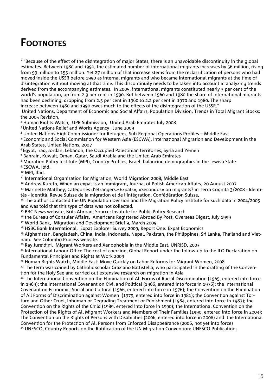#### **FOOTNOTES**

 $^{\rm 1}$  "Because of the effect of the disintegration of major States, there is an unavoidable discontinuity in the global estimates. Between 1980 and 1990, the estimated number of international migrants increases by 56 million, rising from 99 million to 155 million. Yet 27 million of that increase stems from the reclassification of persons who had moved inside the USSR before 1990 as internal migrants and who became international migrants at the time of disintegration without moving at that time. This discontinuity needs to be taken into account in analyzing trends derived from the accompanying estimates. In 2005, international migrants constituted nearly 3 per cent of the world's population, up from 2.9 per cent in 1990. But between 1960 and 1980 the share of international migrants had been declining, dropping from 2.5 per cent in 1960 to 2.2 per cent in 1970 and 1980. The sharp increase between 1980 and 1990 owes much to the effects of the disintegration of the USSR."

 United Nations, Department of Economic and Social Affairs, Population Division, Trends in Total Migrant Stocks: the 2005 Revision,

2 Human Rights Watch, UPR Submission, United Arab Emirates July 2008

3 United Nations Relief and Works Agency , June 2009

<sup>4</sup> United Nations High Commissioner for Refugees, Sub-Regional Operations Profiles – Middle East

5 Economic and Social Commission for Western Asia (ESCWA), International Migration and Development in the Arab States, United Nations, 2007

6 Egypt, Iraq, Jordan, Lebanon, the Occupied Palestinian territories, Syria and Yemen

7 Bahrain, Kuwait, Oman, Qatar, Saudi Arabia and the United Arab Emirates

<sup>8</sup> Migration Policy Institute (MPI), Country Profiles, Israel: balancing demographics in the Jewish State

<sup>9</sup> ESCWA, Ibid.

<sup>10</sup> MPI, Ibid.

<sup>11</sup> International Organisation for Migration, World Migration 2008, Middle East

12 Andrew Kureth, When an expat is an immigrant, Journal of Polish American Affairs, 20 August 2007

13 Marinette Matthey, Catégories d'étrangers.«Expats», «Secondos» ou migrants? in Terra Cognita 3/2008 - Identités - Identità, Revue Suisse de la migration et de l'intégration, Confédération Suisse,

<sup>14</sup> The author contacted the UN Population Division and the Migration Policy Institute for such data in 2004/2005 and was told that this type of data was not collected.

<sup>15</sup> BBC News website, Brits Abroad, Source: Institute for Public Policy Research

<sup>16</sup> the Bureau of Consular Affairs, Americans Registered Abroad By Post, Overseas Digest, July 1999

17 World Bank, Migration and Development Brief 9, March 2009

<sup>18</sup> HSBC Bank International, Expat Explorer Survey 2009, Report One: Expat Economics

<sup>19</sup> Afghanistan, Bangladesh, China, India, Indonesia, Nepal, Pakistan, the Philippines, Sri Lanka, Thailand and Vietnam. See Colombo Process website.

20 Ray Jureidini, Migrant Workers and Xenophobia in the Middle East, UNRISD, 2003

<sup>21</sup> International Labour Office The cost of coercion, Global Report under the follow-up to the ILO Declaration on Fundamental Principles and Rights at Work 2009

<sup>22</sup> Human Rights Watch, Middle East: Move Quickly on Labor Reforms for Migrant Women, 2008

<sup>23</sup> The term was coined by Catholic scholar Graziano Battistella, who participated in the drafting of the Convention for the Holy See and carried out extensive research on migration in Asia

<sup>24</sup> The International Convention on the Elimination of All Forms of Racial Discrimination (1965, entered into force in 1969); the International Covenant on Civil and Political (1966, entered into force in 1976); the International Covenant on Economic, Social and Cultural (1966, entered into force in 1976); the Convention on the Elimination of All Forms of Discrimination against Women (1979, entered into force in 1981); the Convention against Torture and Other Cruel, Inhuman or Degrading Treatment or Punishment (1984, entered into force in 1987); the Convention on the Rights of the Child (1989, entered into force in 1990); the International Convention on the Protection of the Rights of All Migrant Workers and Members of Their Families (1990, entered into force in 2003); The Convention on the Rights of Persons with Disabilities (2006, entered into force in 2008) and the International Convention for the Protection of All Persons from Enforced Disappearance (2006, not yet into force) <sup>25</sup> UNESCO, Country Reports on the Ratification of the UN Migration Convention: UNESCO Publications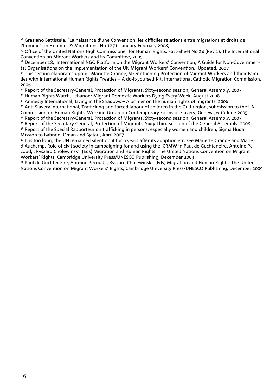<sup>26</sup> Graziano Battistela, "La naissance d'une Convention: les difficiles relations entre migrations et droits de l'homme", in Hommes & Migrations, No 1271, January-February 2008,

<sup>27</sup> Office of the United Nations High Commissioner for Human Rights, Fact-Sheet No 24 (Rev.1), The International Convention on Migrant Workers and its Committee, 2005

<sup>28</sup> December 18, International NGO Platform on the Migrant Workers' Convention, A Guide for Non-Governmental Organisations on the Implementation of the UN Migrant Workers' Convention, Updated, 2007

<sup>29</sup> This section elaborates upon: Mariette Grange, Strengthening Protection of Migrant Workers and their Families with International Human Rights Treaties – A do-it-yourself Kit, International Catholic Migration Commission, 2006

<sup>30</sup> Report of the Secretary-General, Protection of Migrants, Sixty-second session, General Assembly, 2007

31 Human Rights Watch, Lebanon: Migrant Domestic Workers Dying Every Week, August 2008

 $32$  Amnesty International, Living in the Shadows – A primer on the human rights of migrants, 2006 33 Anti-Slavery International, Trafficking and forced labour of children in the Gulf region, submission to the UN Commission on Human Rights, Working Group on Contemporary Forms of Slavery, Geneva, 6-10 June 2005

34 Report of the Secretary-General, Protection of Migrants, Sixty-second session, General Assembly, 2007

35 Report of the Secretary-General, Protection of Migrants, Sixty-Third session of the General Assembly, 2008 36 Report of the Special Rapporteur on trafficking in persons, especially women and children, Sigma Huda Mission to Bahrain, Oman and Qatar , April 2007

<sup>37</sup> It is too long, the UN remained silent on it for 6 years after its adoption etc. see Mariette Grange and Marie d'Auchamp, Role of civil society in campaigning for and using the ICRMW in Paul de Guchteneire, Antoine Pecoud, , Ryszard Cholewinski, (Eds) Migration and Human Rights: The United Nations Convention on Migrant Workers' Rights, Cambridge University Press/UNESCO Publishing, December 2009

<sup>38</sup> Paul de Guchteneire, Antoine Pecoud, , Ryszard Cholewinski, (Eds) Migration and Human Rights: The United Nations Convention on Migrant Workers' Rights, Cambridge University Press/UNESCO Publishing, December 2009